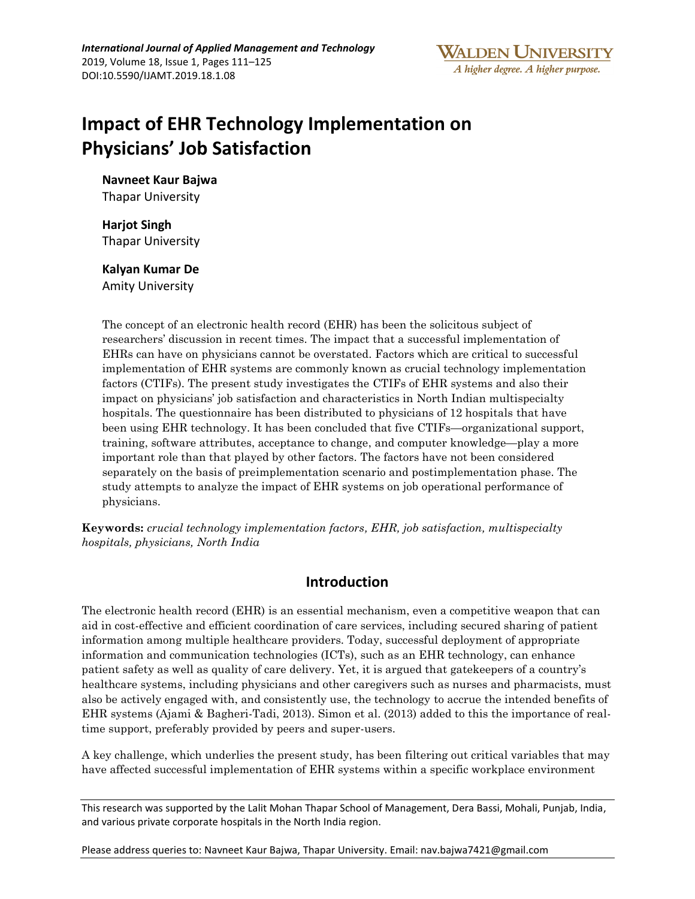

# **Impact of EHR Technology Implementation on Physicians' Job Satisfaction**

**Navneet Kaur Bajwa** Thapar University

**Harjot Singh** Thapar University

**Kalyan Kumar De** Amity University

The concept of an electronic health record (EHR) has been the solicitous subject of researchers' discussion in recent times. The impact that a successful implementation of EHRs can have on physicians cannot be overstated. Factors which are critical to successful implementation of EHR systems are commonly known as crucial technology implementation factors (CTIFs). The present study investigates the CTIFs of EHR systems and also their impact on physicians' job satisfaction and characteristics in North Indian multispecialty hospitals. The questionnaire has been distributed to physicians of 12 hospitals that have been using EHR technology. It has been concluded that five CTIFs—organizational support, training, software attributes, acceptance to change, and computer knowledge—play a more important role than that played by other factors. The factors have not been considered separately on the basis of preimplementation scenario and postimplementation phase. The study attempts to analyze the impact of EHR systems on job operational performance of physicians.

**Keywords:** *crucial technology implementation factors, EHR, job satisfaction, multispecialty hospitals, physicians, North India*

# **Introduction**

The electronic health record (EHR) is an essential mechanism, even a competitive weapon that can aid in cost-effective and efficient coordination of care services, including secured sharing of patient information among multiple healthcare providers. Today, successful deployment of appropriate information and communication technologies (ICTs), such as an EHR technology, can enhance patient safety as well as quality of care delivery. Yet, it is argued that gatekeepers of a country's healthcare systems, including physicians and other caregivers such as nurses and pharmacists, must also be actively engaged with, and consistently use, the technology to accrue the intended benefits of EHR systems (Ajami & Bagheri-Tadi, 2013). Simon et al. (2013) added to this the importance of realtime support, preferably provided by peers and super-users.

A key challenge, which underlies the present study, has been filtering out critical variables that may have affected successful implementation of EHR systems within a specific workplace environment

This research was supported by the Lalit Mohan Thapar School of Management, Dera Bassi, Mohali, Punjab, India, and various private corporate hospitals in the North India region.

Please address queries to: Navneet Kaur Bajwa, Thapar University. Email: nav.bajwa7421@gmail.com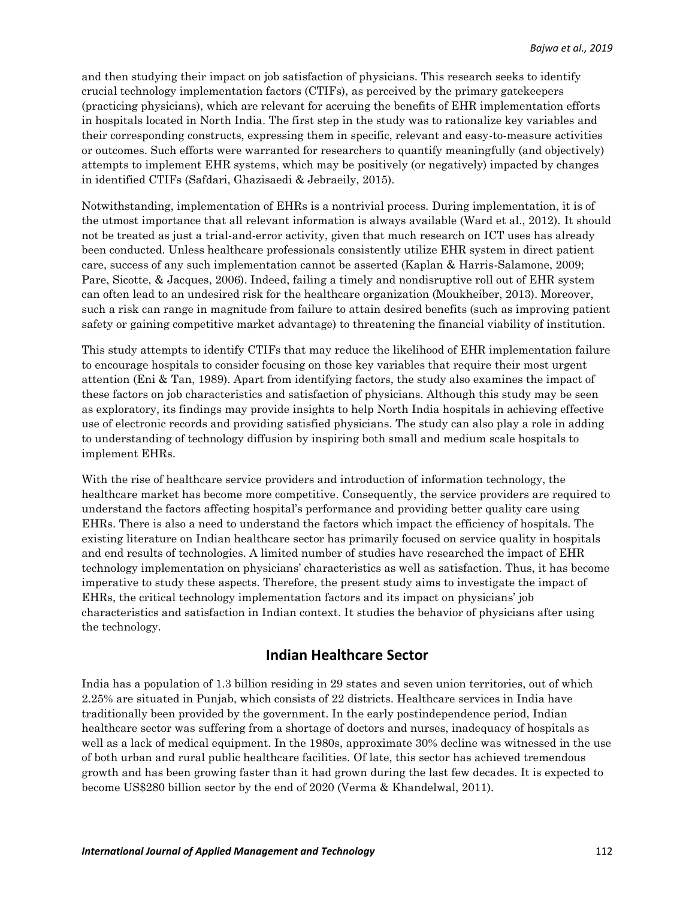and then studying their impact on job satisfaction of physicians. This research seeks to identify crucial technology implementation factors (CTIFs), as perceived by the primary gatekeepers (practicing physicians), which are relevant for accruing the benefits of EHR implementation efforts in hospitals located in North India. The first step in the study was to rationalize key variables and their corresponding constructs, expressing them in specific, relevant and easy-to-measure activities or outcomes. Such efforts were warranted for researchers to quantify meaningfully (and objectively) attempts to implement EHR systems, which may be positively (or negatively) impacted by changes in identified CTIFs (Safdari, Ghazisaedi & Jebraeily, 2015).

Notwithstanding, implementation of EHRs is a nontrivial process. During implementation, it is of the utmost importance that all relevant information is always available (Ward et al., 2012). It should not be treated as just a trial-and-error activity, given that much research on ICT uses has already been conducted. Unless healthcare professionals consistently utilize EHR system in direct patient care, success of any such implementation cannot be asserted (Kaplan & Harris-Salamone, 2009; Pare, Sicotte, & Jacques, 2006). Indeed, failing a timely and nondisruptive roll out of EHR system can often lead to an undesired risk for the healthcare organization (Moukheiber, 2013). Moreover, such a risk can range in magnitude from failure to attain desired benefits (such as improving patient safety or gaining competitive market advantage) to threatening the financial viability of institution.

This study attempts to identify CTIFs that may reduce the likelihood of EHR implementation failure to encourage hospitals to consider focusing on those key variables that require their most urgent attention (Eni & Tan, 1989). Apart from identifying factors, the study also examines the impact of these factors on job characteristics and satisfaction of physicians. Although this study may be seen as exploratory, its findings may provide insights to help North India hospitals in achieving effective use of electronic records and providing satisfied physicians. The study can also play a role in adding to understanding of technology diffusion by inspiring both small and medium scale hospitals to implement EHRs.

With the rise of healthcare service providers and introduction of information technology, the healthcare market has become more competitive. Consequently, the service providers are required to understand the factors affecting hospital's performance and providing better quality care using EHRs. There is also a need to understand the factors which impact the efficiency of hospitals. The existing literature on Indian healthcare sector has primarily focused on service quality in hospitals and end results of technologies. A limited number of studies have researched the impact of EHR technology implementation on physicians' characteristics as well as satisfaction. Thus, it has become imperative to study these aspects. Therefore, the present study aims to investigate the impact of EHRs, the critical technology implementation factors and its impact on physicians' job characteristics and satisfaction in Indian context. It studies the behavior of physicians after using the technology.

# **Indian Healthcare Sector**

India has a population of 1.3 billion residing in 29 states and seven union territories, out of which 2.25% are situated in Punjab, which consists of 22 districts. Healthcare services in India have traditionally been provided by the government. In the early postindependence period, Indian healthcare sector was suffering from a shortage of doctors and nurses, inadequacy of hospitals as well as a lack of medical equipment. In the 1980s, approximate 30% decline was witnessed in the use of both urban and rural public healthcare facilities. Of late, this sector has achieved tremendous growth and has been growing faster than it had grown during the last few decades. It is expected to become US\$280 billion sector by the end of 2020 (Verma & Khandelwal, 2011).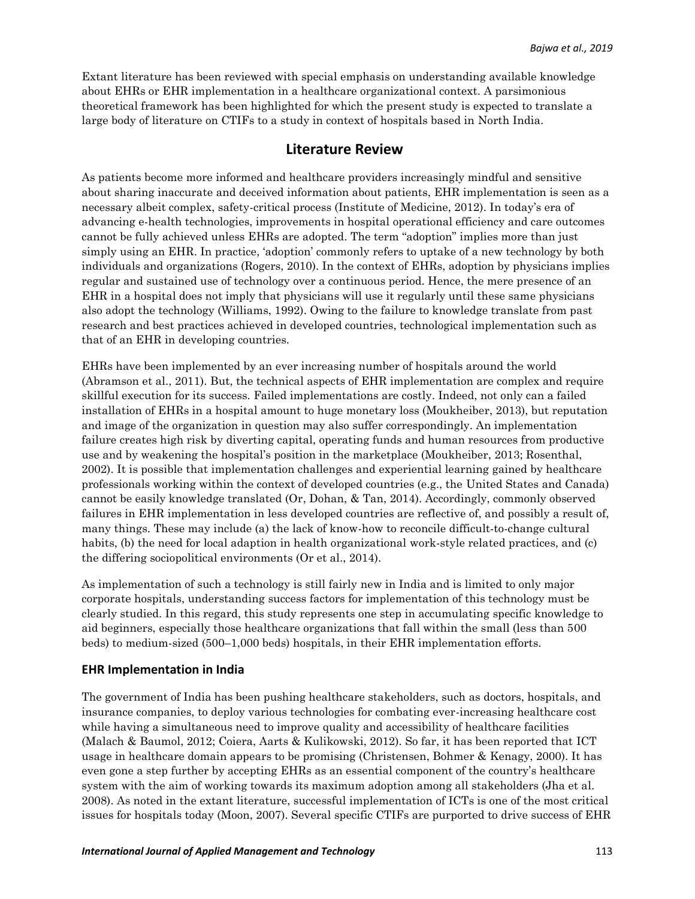Extant literature has been reviewed with special emphasis on understanding available knowledge about EHRs or EHR implementation in a healthcare organizational context. A parsimonious theoretical framework has been highlighted for which the present study is expected to translate a large body of literature on CTIFs to a study in context of hospitals based in North India.

# **Literature Review**

As patients become more informed and healthcare providers increasingly mindful and sensitive about sharing inaccurate and deceived information about patients, EHR implementation is seen as a necessary albeit complex, safety-critical process (Institute of Medicine, 2012). In today's era of advancing e-health technologies, improvements in hospital operational efficiency and care outcomes cannot be fully achieved unless EHRs are adopted. The term "adoption" implies more than just simply using an EHR. In practice, 'adoption' commonly refers to uptake of a new technology by both individuals and organizations (Rogers, 2010). In the context of EHRs, adoption by physicians implies regular and sustained use of technology over a continuous period. Hence, the mere presence of an EHR in a hospital does not imply that physicians will use it regularly until these same physicians also adopt the technology (Williams, 1992). Owing to the failure to knowledge translate from past research and best practices achieved in developed countries, technological implementation such as that of an EHR in developing countries.

EHRs have been implemented by an ever increasing number of hospitals around the world (Abramson et al., 2011). But, the technical aspects of EHR implementation are complex and require skillful execution for its success. Failed implementations are costly. Indeed, not only can a failed installation of EHRs in a hospital amount to huge monetary loss (Moukheiber, 2013), but reputation and image of the organization in question may also suffer correspondingly. An implementation failure creates high risk by diverting capital, operating funds and human resources from productive use and by weakening the hospital's position in the marketplace (Moukheiber, 2013; Rosenthal, 2002). It is possible that implementation challenges and experiential learning gained by healthcare professionals working within the context of developed countries (e.g., the United States and Canada) cannot be easily knowledge translated (Or, Dohan, & Tan, 2014). Accordingly, commonly observed failures in EHR implementation in less developed countries are reflective of, and possibly a result of, many things. These may include (a) the lack of know-how to reconcile difficult-to-change cultural habits, (b) the need for local adaption in health organizational work-style related practices, and (c) the differing sociopolitical environments (Or et al., 2014).

As implementation of such a technology is still fairly new in India and is limited to only major corporate hospitals, understanding success factors for implementation of this technology must be clearly studied. In this regard, this study represents one step in accumulating specific knowledge to aid beginners, especially those healthcare organizations that fall within the small (less than 500 beds) to medium-sized (500–1,000 beds) hospitals, in their EHR implementation efforts.

#### **EHR Implementation in India**

The government of India has been pushing healthcare stakeholders, such as doctors, hospitals, and insurance companies, to deploy various technologies for combating ever-increasing healthcare cost while having a simultaneous need to improve quality and accessibility of healthcare facilities (Malach & Baumol, 2012; Coiera, Aarts & Kulikowski, 2012). So far, it has been reported that ICT usage in healthcare domain appears to be promising (Christensen, Bohmer & Kenagy, 2000). It has even gone a step further by accepting EHRs as an essential component of the country's healthcare system with the aim of working towards its maximum adoption among all stakeholders (Jha et al. 2008). As noted in the extant literature, successful implementation of ICTs is one of the most critical issues for hospitals today (Moon, 2007). Several specific CTIFs are purported to drive success of EHR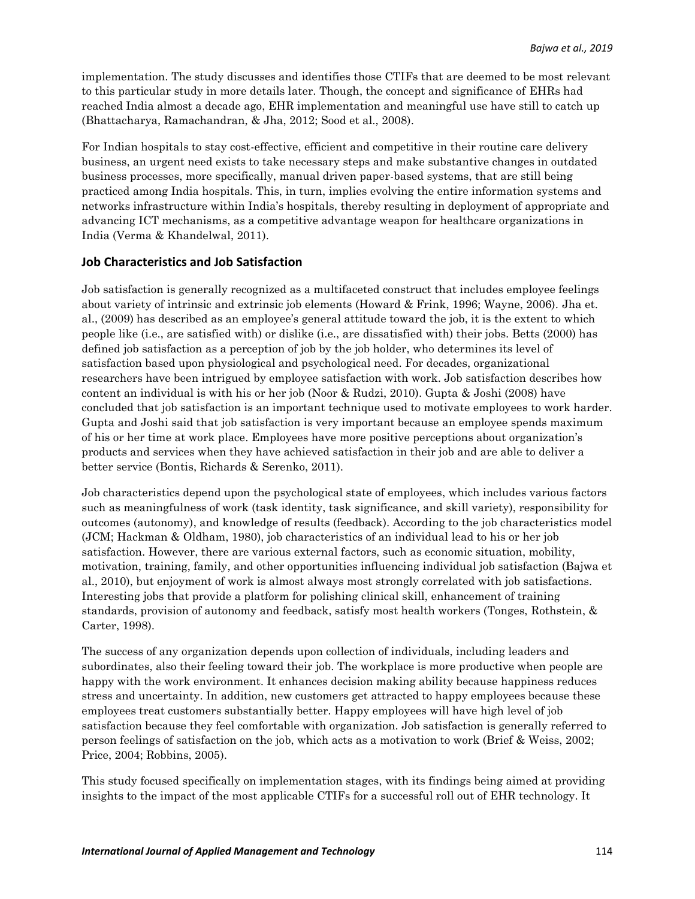implementation. The study discusses and identifies those CTIFs that are deemed to be most relevant to this particular study in more details later. Though, the concept and significance of EHRs had reached India almost a decade ago, EHR implementation and meaningful use have still to catch up (Bhattacharya, Ramachandran, & Jha, 2012; Sood et al., 2008).

For Indian hospitals to stay cost-effective, efficient and competitive in their routine care delivery business, an urgent need exists to take necessary steps and make substantive changes in outdated business processes, more specifically, manual driven paper-based systems, that are still being practiced among India hospitals. This, in turn, implies evolving the entire information systems and networks infrastructure within India's hospitals, thereby resulting in deployment of appropriate and advancing ICT mechanisms, as a competitive advantage weapon for healthcare organizations in India (Verma & Khandelwal, 2011).

#### **Job Characteristics and Job Satisfaction**

Job satisfaction is generally recognized as a multifaceted construct that includes employee feelings about variety of intrinsic and extrinsic job elements (Howard & Frink, 1996; Wayne, 2006). Jha et. al., (2009) has described as an employee's general attitude toward the job, it is the extent to which people like (i.e., are satisfied with) or dislike (i.e., are dissatisfied with) their jobs. Betts (2000) has defined job satisfaction as a perception of job by the job holder, who determines its level of satisfaction based upon physiological and psychological need. For decades, organizational researchers have been intrigued by employee satisfaction with work. Job satisfaction describes how content an individual is with his or her job (Noor & Rudzi, 2010). Gupta & Joshi (2008) have concluded that job satisfaction is an important technique used to motivate employees to work harder. Gupta and Joshi said that job satisfaction is very important because an employee spends maximum of his or her time at work place. Employees have more positive perceptions about organization's products and services when they have achieved satisfaction in their job and are able to deliver a better service (Bontis, Richards & Serenko, 2011).

Job characteristics depend upon the psychological state of employees, which includes various factors such as meaningfulness of work (task identity, task significance, and skill variety), responsibility for outcomes (autonomy), and knowledge of results (feedback). According to the job characteristics model (JCM; Hackman & Oldham, 1980), job characteristics of an individual lead to his or her job satisfaction. However, there are various external factors, such as economic situation, mobility, motivation, training, family, and other opportunities influencing individual job satisfaction (Bajwa et al., 2010), but enjoyment of work is almost always most strongly correlated with job satisfactions. Interesting jobs that provide a platform for polishing clinical skill, enhancement of training standards, provision of autonomy and feedback, satisfy most health workers (Tonges, Rothstein, & Carter, 1998).

The success of any organization depends upon collection of individuals, including leaders and subordinates, also their feeling toward their job. The workplace is more productive when people are happy with the work environment. It enhances decision making ability because happiness reduces stress and uncertainty. In addition, new customers get attracted to happy employees because these employees treat customers substantially better. Happy employees will have high level of job satisfaction because they feel comfortable with organization. Job satisfaction is generally referred to person feelings of satisfaction on the job, which acts as a motivation to work (Brief & Weiss, 2002; Price, 2004; Robbins, 2005).

This study focused specifically on implementation stages, with its findings being aimed at providing insights to the impact of the most applicable CTIFs for a successful roll out of EHR technology. It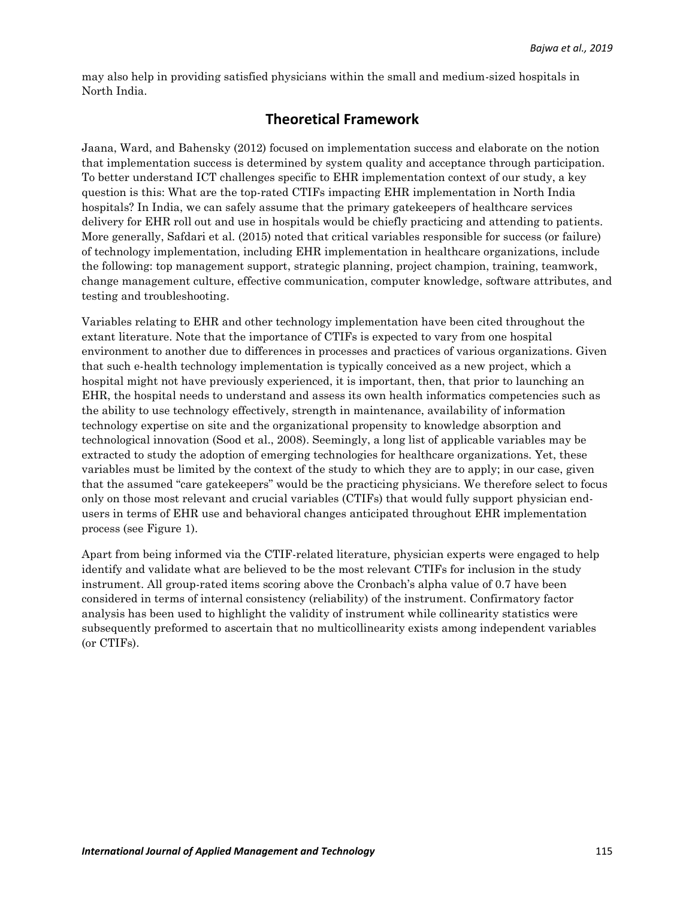may also help in providing satisfied physicians within the small and medium-sized hospitals in North India.

# **Theoretical Framework**

Jaana, Ward, and Bahensky (2012) focused on implementation success and elaborate on the notion that implementation success is determined by system quality and acceptance through participation. To better understand ICT challenges specific to EHR implementation context of our study, a key question is this: What are the top-rated CTIFs impacting EHR implementation in North India hospitals? In India, we can safely assume that the primary gate keepers of healthcare services delivery for EHR roll out and use in hospitals would be chiefly practicing and attending to patients. More generally, Safdari et al. (2015) noted that critical variables responsible for success (or failure) of technology implementation, including EHR implementation in healthcare organizations, include the following: top management support, strategic planning, project champion, training, teamwork, change management culture, effective communication, computer knowledge, software attributes, and testing and troubleshooting.

Variables relating to EHR and other technology implementation have been cited throughout the extant literature. Note that the importance of CTIFs is expected to vary from one hospital environment to another due to differences in processes and practices of various organizations. Given that such e-health technology implementation is typically conceived as a new project, which a hospital might not have previously experienced, it is important, then, that prior to launching an EHR, the hospital needs to understand and assess its own health informatics competencies such as the ability to use technology effectively, strength in maintenance, availability of information technology expertise on site and the organizational propensity to knowledge absorption and technological innovation (Sood et al., 2008). Seemingly, a long list of applicable variables may be extracted to study the adoption of emerging technologies for healthcare organizations. Yet, these variables must be limited by the context of the study to which they are to apply; in our case, given that the assumed "care gatekeepers" would be the practicing physicians. We therefore select to focus only on those most relevant and crucial variables (CTIFs) that would fully support physician endusers in terms of EHR use and behavioral changes anticipated throughout EHR implementation process (see Figure 1).

Apart from being informed via the CTIF-related literature, physician experts were engaged to help identify and validate what are believed to be the most relevant CTIFs for inclusion in the study instrument. All group-rated items scoring above the Cronbach's alpha value of 0.7 have been considered in terms of internal consistency (reliability) of the instrument. Confirmatory factor analysis has been used to highlight the validity of instrument while collinearity statistics were subsequently preformed to ascertain that no multicollinearity exists among independent variables (or CTIFs).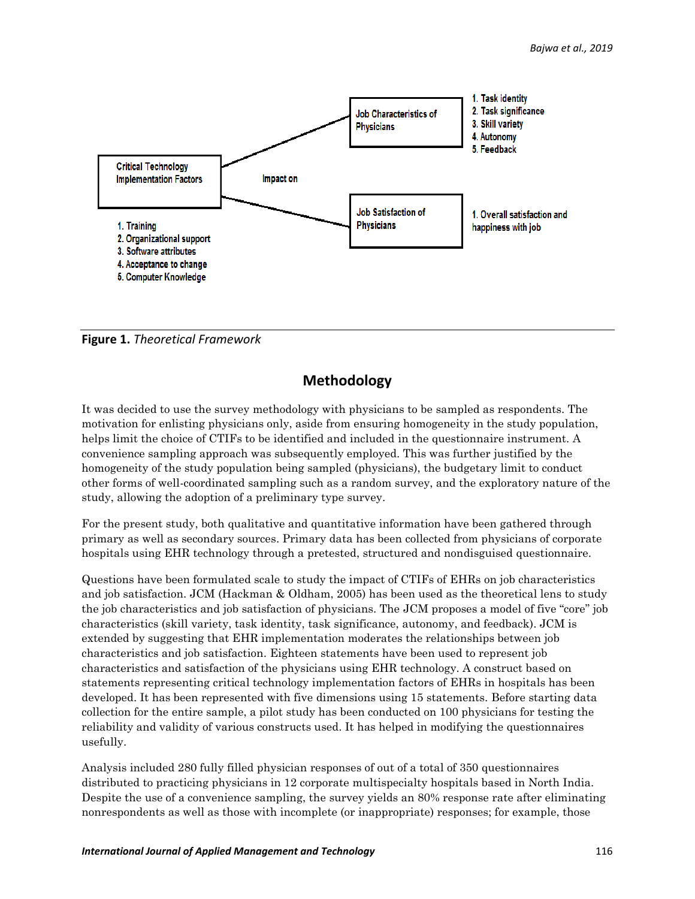

**Figure 1.** *Theoretical Framework*

# **Methodology**

It was decided to use the survey methodology with physicians to be sampled as respondents. The motivation for enlisting physicians only, aside from ensuring homogeneity in the study population, helps limit the choice of CTIFs to be identified and included in the questionnaire instrument. A convenience sampling approach was subsequently employed. This was further justified by the homogeneity of the study population being sampled (physicians), the budgetary limit to conduct other forms of well-coordinated sampling such as a random survey, and the exploratory nature of the study, allowing the adoption of a preliminary type survey.

For the present study, both qualitative and quantitative information have been gathered through primary as well as secondary sources. Primary data has been collected from physicians of corporate hospitals using EHR technology through a pretested, structured and nondisguised questionnaire.

Questions have been formulated scale to study the impact of CTIFs of EHRs on job characteristics and job satisfaction. JCM (Hackman & Oldham, 2005) has been used as the theoretical lens to study the job characteristics and job satisfaction of physicians. The JCM proposes a [model](https://en.wikipedia.org/wiki/Model_theory) of five "core" job characteristics (skill variety, task identity, task significance, [autonomy,](https://en.wikipedia.org/wiki/Autonomy) and [feedback\)](https://en.wikipedia.org/wiki/Feedback). JCM is extended by suggesting that EHR implementation moderates the relationships between job characteristics and job satisfaction. Eighteen statements have been used to represent job characteristics and satisfaction of the physicians using EHR technology. A construct based on statements representing critical technology implementation factors of EHRs in hospitals has been developed. It has been represented with five dimensions using 15 statements. Before starting data collection for the entire sample, a pilot study has been conducted on 100 physicians for testing the reliability and validity of various constructs used. It has helped in modifying the questionnaires usefully.

Analysis included 280 fully filled physician responses of out of a total of 350 questionnaires distributed to practicing physicians in 12 corporate multispecialty hospitals based in North India. Despite the use of a convenience sampling, the survey yields an 80% response rate after eliminating nonrespondents as well as those with incomplete (or inappropriate) responses; for example, those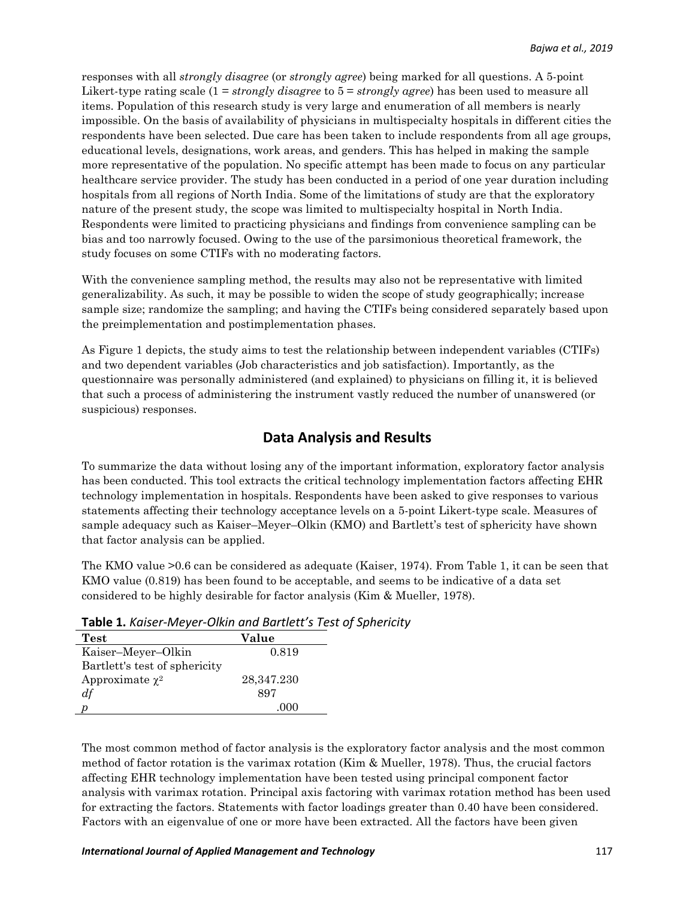responses with all *strongly disagree* (or *strongly agree*) being marked for all questions. A 5-point Likert-type rating scale (1 = *strongly disagree* to 5 = *strongly agree*) has been used to measure all items. Population of this research study is very large and enumeration of all members is nearly impossible. On the basis of availability of physicians in multispecialty hospitals in different cities the respondents have been selected. Due care has been taken to include respondents from all age groups, educational levels, designations, work areas, and genders. This has helped in making the sample more representative of the population. No specific attempt has been made to focus on any particular healthcare service provider. The study has been conducted in a period of one year duration including hospitals from all regions of North India. Some of the limitations of study are that the exploratory nature of the present study, the scope was limited to multispecialty hospital in North India. Respondents were limited to practicing physicians and findings from convenience sampling can be bias and too narrowly focused. Owing to the use of the parsimonious theoretical framework, the study focuses on some CTIFs with no moderating factors.

With the convenience sampling method, the results may also not be representative with limited generalizability. As such, it may be possible to widen the scope of study geographically; increase sample size; randomize the sampling; and having the CTIFs being considered separately based upon the preimplementation and postimplementation phases.

As Figure 1 depicts, the study aims to test the relationship between independent variables (CTIFs) and two dependent variables (Job characteristics and job satisfaction). Importantly, as the questionnaire was personally administered (and explained) to physicians on filling it, it is believed that such a process of administering the instrument vastly reduced the number of unanswered (or suspicious) responses.

# **Data Analysis and Results**

To summarize the data without losing any of the important information, exploratory factor analysis has been conducted. This tool extracts the critical technology implementation factors affecting EHR technology implementation in hospitals. Respondents have been asked to give responses to various statements affecting their technology acceptance levels on a 5-point Likert-type scale. Measures of sample adequacy such as Kaiser–Meyer–Olkin (KMO) and Bartlett's test of sphericity have shown that factor analysis can be applied.

The KMO value >0.6 can be considered as adequate (Kaiser, 1974). From Table 1, it can be seen that KMO value (0.819) has been found to be acceptable, and seems to be indicative of a data set considered to be highly desirable for factor analysis (Kim & Mueller, 1978).

| Test                          | Value      |
|-------------------------------|------------|
| Kaiser-Meyer-Olkin            | 0.819      |
| Bartlett's test of sphericity |            |
| Approximate $\chi^2$          | 28,347.230 |
| df                            | 897        |
|                               |            |

**Table 1.** *Kaiser-Meyer-Olkin and Bartlett's Test of Sphericity*

The most common method of factor analysis is the exploratory factor analysis and the most common method of factor rotation is the varimax rotation (Kim & Mueller, 1978). Thus, the crucial factors affecting EHR technology implementation have been tested using principal component factor analysis with varimax rotation. Principal axis factoring with varimax rotation method has been used for extracting the factors. Statements with factor loadings greater than 0.40 have been considered. Factors with an eigenvalue of one or more have been extracted. All the factors have been given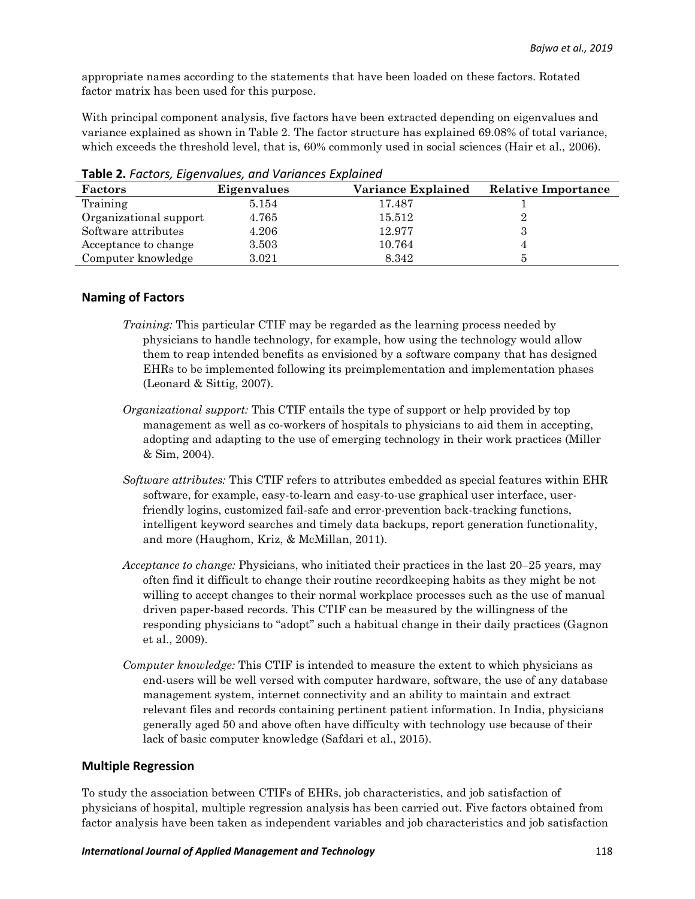appropriate names according to the statements that have been loaded on these factors. Rotated factor matrix has been used for this purpose.

With principal component analysis, five factors have been extracted depending on eigenvalues and variance explained as shown in Table 2. The factor structure has explained 69.08% of total variance, which exceeds the threshold level, that is, 60% commonly used in social sciences (Hair et al., 2006).

| Factors                | Eigenvalues | Variance Explained | <b>Relative Importance</b> |
|------------------------|-------------|--------------------|----------------------------|
| Training               | 5.154       | 17.487             |                            |
| Organizational support | 4.765       | 15.512             |                            |
| Software attributes    | 4.206       | 12.977             |                            |
| Acceptance to change   | 3.503       | 10.764             |                            |
| Computer knowledge     | 3.021       | 8.342              |                            |

**Table 2.** *Factors, Eigenvalues, and Variances Explained*

#### **Naming of Factors**

- *Training:* This particular CTIF may be regarded as the learning process needed by physicians to handle technology, for example, how using the technology would allow them to reap intended benefits as envisioned by a software company that has designed EHRs to be implemented following its preimplementation and implementation phases (Leonard & Sittig, 2007).
- *Organizational support:* This CTIF entails the type of support or help provided by top management as well as co-workers of hospitals to physicians to aid them in accepting, adopting and adapting to the use of emerging technology in their work practices (Miller & Sim, 2004).
- *Software attributes:* This CTIF refers to attributes embedded as special features within EHR software, for example, easy-to-learn and easy-to-use graphical user interface, userfriendly logins, customized fail-safe and error-prevention back-tracking functions, intelligent keyword searches and timely data backups, report generation functionality, and more (Haughom, Kriz, & McMillan, 2011).
- *Acceptance to change:* Physicians, who initiated their practices in the last 20–25 years, may often find it difficult to change their routine recordkeeping habits as they might be not willing to accept changes to their normal workplace processes such as the use of manual driven paper-based records. This CTIF can be measured by the willingness of the responding physicians to "adopt" such a habitual change in their daily practices (Gagnon et al., 2009).
- *Computer knowledge:* This CTIF is intended to measure the extent to which physicians as end-users will be well versed with computer hardware, software, the use of any database management system, internet connectivity and an ability to maintain and extract relevant files and records containing pertinent patient information. In India, physicians generally aged 50 and above often have difficulty with technology use because of their lack of basic computer knowledge (Safdari et al., 2015).

#### **Multiple Regression**

To study the association between CTIFs of EHRs, job characteristics, and job satisfaction of physicians of hospital, multiple regression analysis has been carried out. Five factors obtained from factor analysis have been taken as independent variables and job characteristics and job satisfaction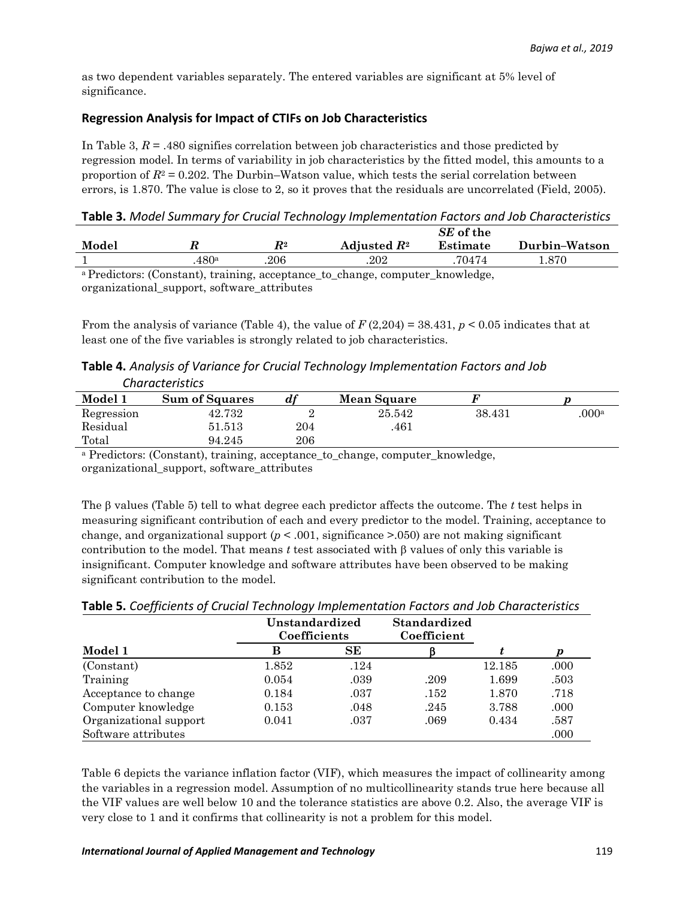as two dependent variables separately. The entered variables are significant at 5% level of significance.

## **Regression Analysis for Impact of CTIFs on Job Characteristics**

In Table 3,  $R = .480$  signifies correlation between job characteristics and those predicted by regression model. In terms of variability in job characteristics by the fitted model, this amounts to a proportion of  $R<sup>2</sup> = 0.202$ . The Durbin–Watson value, which tests the serial correlation between errors, is 1.870. The value is close to 2, so it proves that the residuals are uncorrelated (Field, 2005).

**Table 3.** *Model Summary for Crucial Technology Implementation Factors and Job Characteristics*

|       |      |                    |                                                                           | SE of the |               |
|-------|------|--------------------|---------------------------------------------------------------------------|-----------|---------------|
| Model |      | $\boldsymbol{R}^2$ | Adjusted $R^2$                                                            | Estimate  | Durbin-Watson |
|       | 480a | .206               | .202                                                                      | 70474     | -870          |
|       |      |                    | a Prodictors: (Constant) training acceptance to change computer knowledge |           |               |

Predictors: (Constant), training, acceptance to change, computer knowledge, organizational\_support, software\_attributes

From the analysis of variance (Table 4), the value of  $F(2,204) = 38.431$ ,  $p < 0.05$  indicates that at least one of the five variables is strongly related to job characteristics.

**Table 4.** *Analysis of Variance for Crucial Technology Implementation Factors and Job Characteristics*

| Model 1    | <b>Sum of Squares</b> | a1  | <b>Mean Square</b> |        |                   |
|------------|-----------------------|-----|--------------------|--------|-------------------|
| Regression | 42.732                | ∸   | 25.542             | 38.431 | .000 <sup>a</sup> |
| Residual   | 51.513                | 204 | 461                |        |                   |
| Total      | 94.245                | 206 |                    |        |                   |

<sup>a</sup> Predictors: (Constant), training, acceptance to change, computer knowledge, organizational\_support, software\_attributes

The  $\beta$  values (Table 5) tell to what degree each predictor affects the outcome. The *t* test helps in measuring significant contribution of each and every predictor to the model. Training, acceptance to change, and organizational support  $(p < .001,$  significance  $> .050$ ) are not making significant contribution to the model. That means  $t$  test associated with  $\beta$  values of only this variable is insignificant. Computer knowledge and software attributes have been observed to be making significant contribution to the model.

|                        | Unstandardized<br>Coefficients |      | <b>Standardized</b><br>Coefficient |        |                  |
|------------------------|--------------------------------|------|------------------------------------|--------|------------------|
| Model 1                | B                              | SЕ   |                                    |        | $\boldsymbol{p}$ |
| (Constant)             | 1.852                          | .124 |                                    | 12.185 | .000             |
| Training               | 0.054                          | .039 | .209                               | 1.699  | .503             |
| Acceptance to change   | 0.184                          | .037 | .152                               | 1.870  | .718             |
| Computer knowledge     | 0.153                          | .048 | .245                               | 3.788  | .000             |
| Organizational support | 0.041                          | .037 | .069                               | 0.434  | .587             |
| Software attributes    |                                |      |                                    |        | .000             |

**Table 5.** *Coefficients of Crucial Technology Implementation Factors and Job Characteristics*

Table 6 depicts the variance inflation factor (VIF), which measures the impact of collinearity among the variables in a regression model. Assumption of no multicollinearity stands true here because all the VIF values are well below 10 and the tolerance statistics are above 0.2. Also, the average VIF is very close to 1 and it confirms that collinearity is not a problem for this model.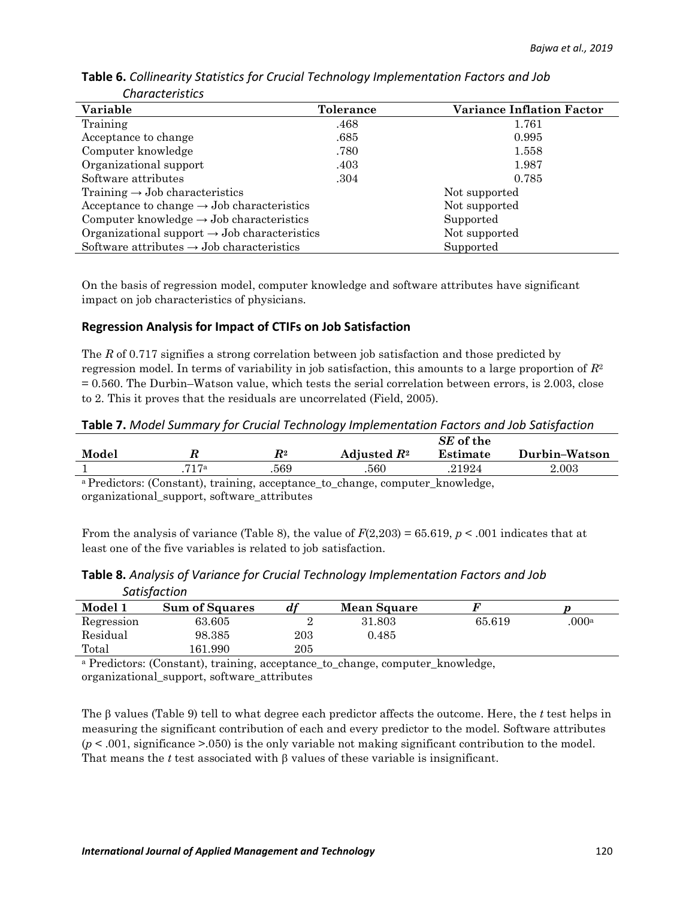| Variable                                                 | <b>Tolerance</b> | <b>Variance Inflation Factor</b> |
|----------------------------------------------------------|------------------|----------------------------------|
| Training                                                 | .468             | 1.761                            |
| Acceptance to change                                     | .685             | 0.995                            |
| Computer knowledge                                       | .780             | 1.558                            |
| Organizational support                                   | .403             | 1.987                            |
| Software attributes                                      | .304             | 0.785                            |
| Training $\rightarrow$ Job characteristics               |                  | Not supported                    |
| Acceptance to change $\rightarrow$ Job characteristics   |                  | Not supported                    |
| Computer knowledge $\rightarrow$ Job characteristics     |                  | Supported                        |
| Organizational support $\rightarrow$ Job characteristics |                  | Not supported                    |
| Software attributes $\rightarrow$ Job characteristics    |                  | Supported                        |

**Table 6.** *Collinearity Statistics for Crucial Technology Implementation Factors and Job Characteristics*

On the basis of regression model, computer knowledge and software attributes have significant impact on job characteristics of physicians.

## **Regression Analysis for Impact of CTIFs on Job Satisfaction**

The *R* of 0.717 signifies a strong correlation between job satisfaction and those predicted by regression model. In terms of variability in job satisfaction, this amounts to a large proportion of *R*<sup>2</sup> = 0.560. The Durbin–Watson value, which tests the serial correlation between errors, is 2.003, close to 2. This it proves that the residuals are uncorrelated (Field, 2005).

**Table 7.** *Model Summary for Crucial Technology Implementation Factors and Job Satisfaction*

|       |      |                    |                | SE of the |               |
|-------|------|--------------------|----------------|-----------|---------------|
| Model |      | $\boldsymbol{R^2}$ | Adjusted $R^2$ | Estimate  | Durbin-Watson |
|       | 717a | 569                | .560           | .21924    | $2.003\,$     |
|       |      |                    |                |           |               |

<sup>a</sup>Predictors: (Constant), training, acceptance\_to\_change, computer\_knowledge, organizational\_support, software\_attributes

From the analysis of variance (Table 8), the value of  $F(2,203) = 65.619$ ,  $p < .001$  indicates that at least one of the five variables is related to job satisfaction.

|            | <b>JULISTUCLIUIT</b>  |     |                    |        |                  |
|------------|-----------------------|-----|--------------------|--------|------------------|
| Model 1    | <b>Sum of Squares</b> | df  | <b>Mean Square</b> |        |                  |
| Regression | 63.605                |     | 31.803             | 65.619 | 000 <sup>a</sup> |
| Residual   | 98.385                | 203 | 0.485              |        |                  |
| Total      | 161.990               | 205 |                    |        |                  |

## **Table 8.** *Analysis of Variance for Crucial Technology Implementation Factors and Job Satisfaction*

<sup>a</sup> Predictors: (Constant), training, acceptance to change, computer knowledge, organizational\_support, software\_attributes

The  $\beta$  values (Table 9) tell to what degree each predictor affects the outcome. Here, the *t* test helps in measuring the significant contribution of each and every predictor to the model. Software attributes  $(p < .001,$  significance  $> .050$ ) is the only variable not making significant contribution to the model. That means the  $t$  test associated with  $\beta$  values of these variable is insignificant.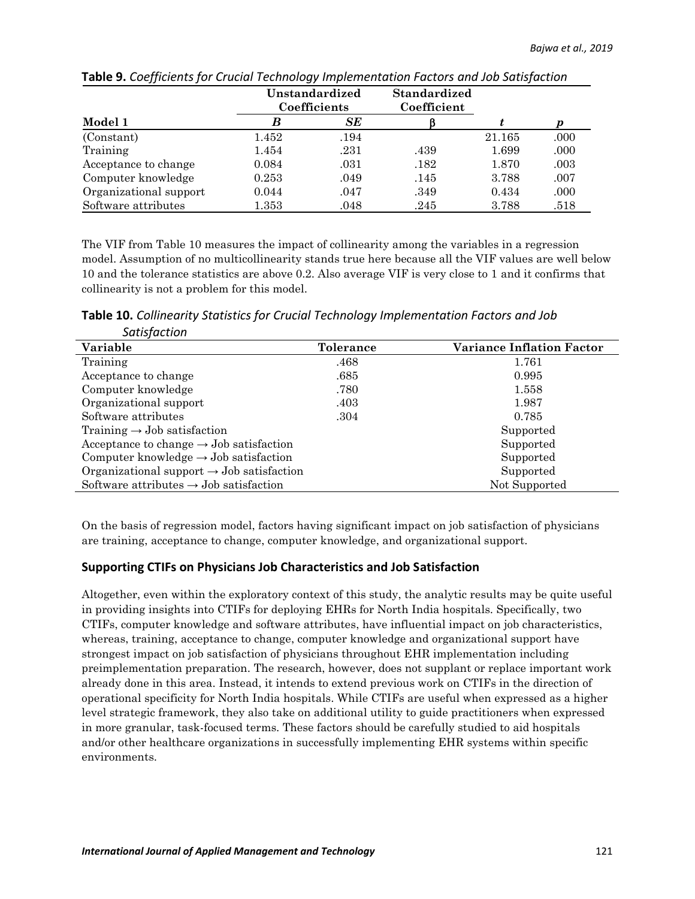|                        |           | Unstandardized<br>Standardized<br>Coefficients<br>Coefficient |      |        |      |
|------------------------|-----------|---------------------------------------------------------------|------|--------|------|
| Model 1                | B         | SE                                                            |      |        | р    |
| (Constant)             | 1.452     | .194                                                          |      | 21.165 | .000 |
| Training               | 1.454     | .231                                                          | .439 | 1.699  | .000 |
| Acceptance to change   | 0.084     | .031                                                          | .182 | 1.870  | .003 |
| Computer knowledge     | 0.253     | .049                                                          | .145 | 3.788  | .007 |
| Organizational support | 0.044     | .047                                                          | .349 | 0.434  | .000 |
| Software attributes    | $1.353\,$ | .048                                                          | .245 | 3.788  | .518 |

**Table 9.** *Coefficients for Crucial Technology Implementation Factors and Job Satisfaction*

The VIF from Table 10 measures the impact of collinearity among the variables in a regression model. Assumption of no multicollinearity stands true here because all the VIF values are well below 10 and the tolerance statistics are above 0.2. Also average VIF is very close to 1 and it confirms that collinearity is not a problem for this model.

**Table 10.** *Collinearity Statistics for Crucial Technology Implementation Factors and Job Satisfaction*

| Variable                                              | <b>Tolerance</b> | <b>Variance Inflation Factor</b> |
|-------------------------------------------------------|------------------|----------------------------------|
| Training                                              | .468             | 1.761                            |
| Acceptance to change                                  | .685             | 0.995                            |
| Computer knowledge                                    | .780             | 1.558                            |
| Organizational support                                | .403             | 1.987                            |
| Software attributes                                   | .304             | 0.785                            |
| Training $\rightarrow$ Job satisfaction               |                  | Supported                        |
| Acceptance to change $\rightarrow$ Job satisfaction   |                  | Supported                        |
| Computer knowledge $\rightarrow$ Job satisfaction     |                  | Supported                        |
| Organizational support $\rightarrow$ Job satisfaction |                  | Supported                        |
| Software attributes $\rightarrow$ Job satisfaction    |                  | Not Supported                    |

On the basis of regression model, factors having significant impact on job satisfaction of physicians are training, acceptance to change, computer knowledge, and organizational support.

# **Supporting CTIFs on Physicians Job Characteristics and Job Satisfaction**

Altogether, even within the exploratory context of this study, the analytic results may be quite useful in providing insights into CTIFs for deploying EHRs for North India hospitals. Specifically, two CTIFs, computer knowledge and software attributes, have influential impact on job characteristics, whereas, training, acceptance to change, computer knowledge and organizational support have strongest impact on job satisfaction of physicians throughout EHR implementation including preimplementation preparation. The research, however, does not supplant or replace important work already done in this area. Instead, it intends to extend previous work on CTIFs in the direction of operational specificity for North India hospitals. While CTIFs are useful when expressed as a higher level strategic framework, they also take on additional utility to guide practitioners when expressed in more granular, task-focused terms. These factors should be carefully studied to aid hospitals and/or other healthcare organizations in successfully implementing EHR systems within specific environments.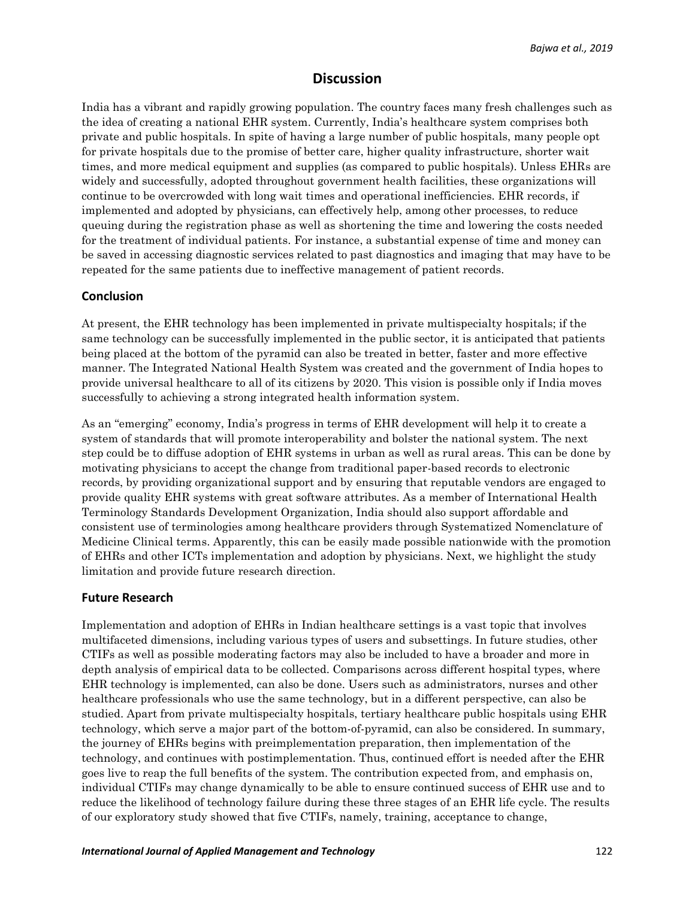# **Discussion**

India has a vibrant and rapidly growing population. The country faces many fresh challenges such as the idea of creating a national EHR system. Currently, India's healthcare system comprises both private and public hospitals. In spite of having a large number of public hospitals, many people opt for private hospitals due to the promise of better care, higher quality infrastructure, shorter wait times, and more medical equipment and supplies (as compared to public hospitals). Unless EHRs are widely and successfully, adopted throughout government health facilities, these organizations will continue to be overcrowded with long wait times and operational inefficiencies. EHR records, if implemented and adopted by physicians, can effectively help, among other processes, to reduce queuing during the registration phase as well as shortening the time and lowering the costs needed for the treatment of individual patients. For instance, a substantial expense of time and money can be saved in accessing diagnostic services related to past diagnostics and imaging that may have to be repeated for the same patients due to ineffective management of patient records.

#### **Conclusion**

At present, the EHR technology has been implemented in private multispecialty hospitals; if the same technology can be successfully implemented in the public sector, it is anticipated that patients being placed at the bottom of the pyramid can also be treated in better, faster and more effective manner. The Integrated National Health System was created and the government of India hopes to provide universal healthcare to all of its citizens by 2020. This vision is possible only if India moves successfully to achieving a strong integrated health information system.

As an "emerging" economy, India's progress in terms of EHR development will help it to create a system of standards that will promote interoperability and bolster the national system. The next step could be to diffuse adoption of EHR systems in urban as well as rural areas. This can be done by motivating physicians to accept the change from traditional paper-based records to electronic records, by providing organizational support and by ensuring that reputable vendors are engaged to provide quality EHR systems with great software attributes. As a member of International Health Terminology Standards Development Organization, India should also support affordable and consistent use of terminologies among healthcare providers through Systematized Nomenclature of Medicine Clinical terms. Apparently, this can be easily made possible nationwide with the promotion of EHRs and other ICTs implementation and adoption by physicians. Next, we highlight the study limitation and provide future research direction.

#### **Future Research**

Implementation and adoption of EHRs in Indian healthcare settings is a vast topic that involves multifaceted dimensions, including various types of users and subsettings. In future studies, other CTIFs as well as possible moderating factors may also be included to have a broader and more in depth analysis of empirical data to be collected. Comparisons across different hospital types, where EHR technology is implemented, can also be done. Users such as administrators, nurses and other healthcare professionals who use the same technology, but in a different perspective, can also be studied. Apart from private multispecialty hospitals, tertiary healthcare public hospitals using EHR technology, which serve a major part of the bottom-of-pyramid, can also be considered. In summary, the journey of EHRs begins with preimplementation preparation, then implementation of the technology, and continues with postimplementation. Thus, continued effort is needed after the EHR goes live to reap the full benefits of the system. The contribution expected from, and emphasis on, individual CTIFs may change dynamically to be able to ensure continued success of EHR use and to reduce the likelihood of technology failure during these three stages of an EHR life cycle. The results of our exploratory study showed that five CTIFs, namely, training, acceptance to change,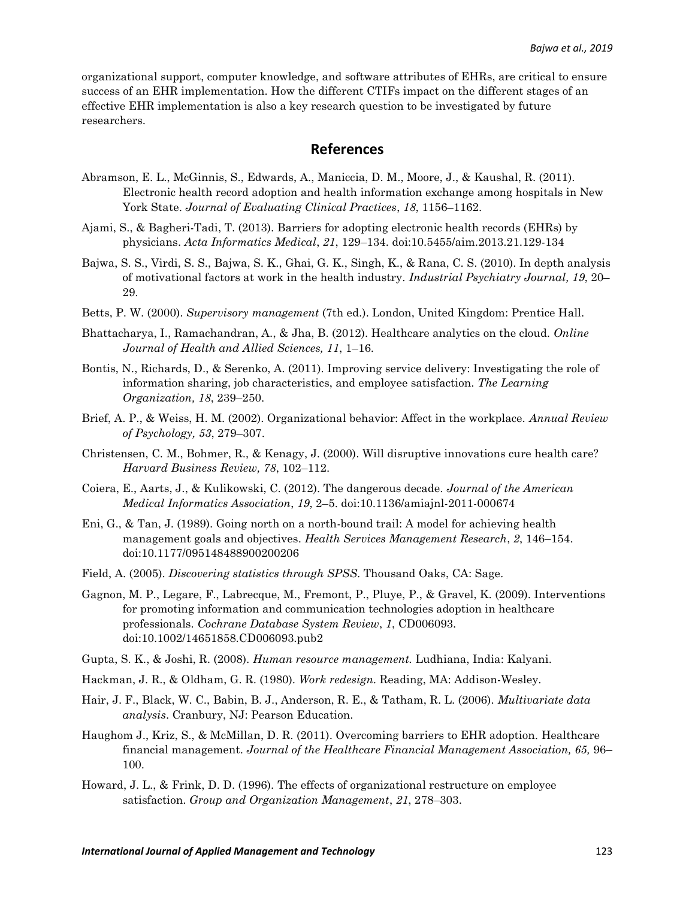organizational support, computer knowledge, and software attributes of EHRs, are critical to ensure success of an EHR implementation. How the different CTIFs impact on the different stages of an effective EHR implementation is also a key research question to be investigated by future researchers.

## **References**

- Abramson, E. L., McGinnis, S., Edwards, A., Maniccia, D. M., Moore, J., & Kaushal, R. (2011). Electronic health record adoption and health information exchange among hospitals in New York State. *Journal of Evaluating Clinical Practices*, *18*, 1156–1162.
- Ajami, S., & Bagheri-Tadi, T. (2013). Barriers for adopting electronic health records (EHRs) by physicians. *Acta Informatics Medical*, *21*, 129–134. doi:10.5455/aim.2013.21.129-134
- Bajwa, S. S., Virdi, S. S., Bajwa, S. K., Ghai, G. K., Singh, K., & Rana, C. S. (2010). In depth analysis of motivational factors at work in the health industry. *Industrial Psychiatry Journal, 19*, 20– 29.
- Betts, P. W. (2000). *Supervisory management* (7th ed.). London, United Kingdom: Prentice Hall.
- Bhattacharya, I., Ramachandran, A., & Jha, B. (2012). Healthcare analytics on the cloud. *Online Journal of Health and Allied Sciences, 11*, 1–16.
- Bontis, N., Richards, D., & Serenko, A. (2011). Improving service delivery: Investigating the role of information sharing, job characteristics, and employee satisfaction. *The Learning Organization, 18*, 239–250.
- Brief, A. P., & Weiss, H. M. (2002). Organizational behavior: Affect in the workplace. *Annual Review of Psychology, 53*, 279–307.
- Christensen, C. M., Bohmer, R., & Kenagy, J. (2000). Will disruptive innovations cure health care? *Harvard Business Review, 78*, 102–112.
- Coiera, E., Aarts, J., & Kulikowski, C. (2012). The dangerous decade. *Journal of the American Medical Informatics Association*, *19*, 2–5. doi:10.1136/amiajnl-2011-000674
- Eni, G., & Tan, J. (1989). Going north on a north-bound trail: A model for achieving health management goals and objectives. *Health Services Management Research*, *2*, 146–154. doi:10.1177/095148488900200206
- Field, A. (2005). *Discovering statistics through SPSS*. Thousand Oaks, CA: Sage.
- Gagnon, M. P., Legare, F., Labrecque, M., Fremont, P., Pluye, P., & Gravel, K. (2009). Interventions for promoting information and communication technologies adoption in healthcare professionals. *Cochrane Database System Review*, *1*, CD006093. doi:10.1002/14651858.CD006093.pub2
- Gupta, S. K., & Joshi, R. (2008). *Human resource management.* Ludhiana, India: Kalyani.
- Hackman, J. R., & Oldham, G. R. (1980). *Work redesign.* Reading, MA: Addison-Wesley.
- Hair, J. F., Black, W. C., Babin, B. J., Anderson, R. E., & Tatham, R. L. (2006). *Multivariate data analysis*. Cranbury, NJ: Pearson Education.
- Haughom J., Kriz, S., & McMillan, D. R. (2011). Overcoming barriers to EHR adoption. Healthcare financial management. *Journal of the Healthcare Financial Management Association, 65,* 96– 100.
- Howard, J. L., & Frink, D. D. (1996). The effects of organizational restructure on employee satisfaction. *Group and Organization Management*, *21*, 278–303.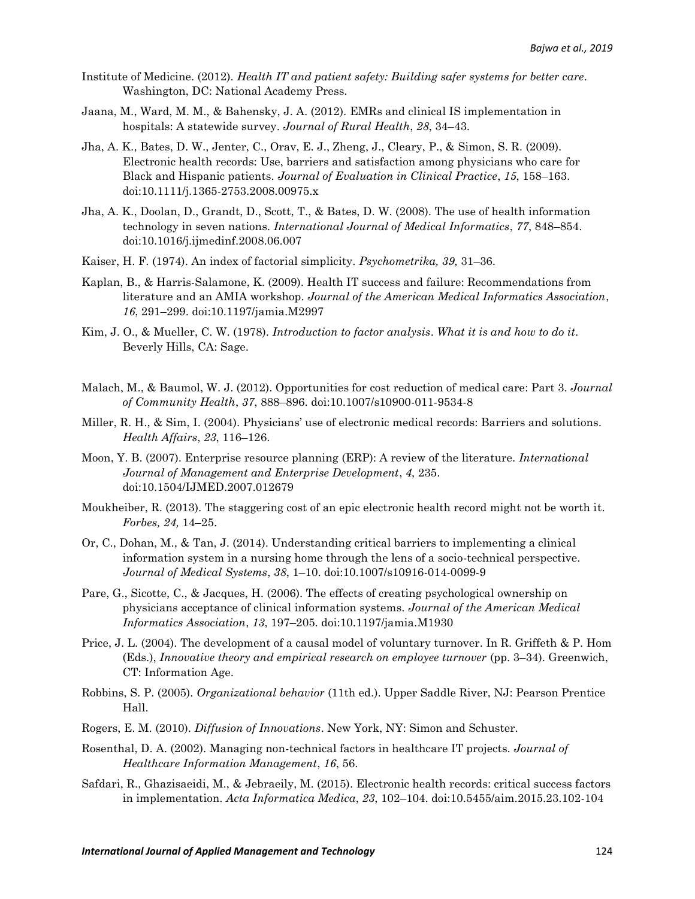- Institute of Medicine. (2012). *Health IT and patient safety: Building safer systems for better care*. Washington, DC: National Academy Press.
- Jaana, M., Ward, M. M., & Bahensky, J. A. (2012). EMRs and clinical IS implementation in hospitals: A statewide survey. *Journal of Rural Health*, *28*, 34–43.
- Jha, A. K., Bates, D. W., Jenter, C., Orav, E. J., Zheng, J., Cleary, P., & Simon, S. R. (2009). Electronic health records: Use, barriers and satisfaction among physicians who care for Black and Hispanic patients. *Journal of Evaluation in Clinical Practice*, *15*, 158–163. doi:10.1111/j.1365-2753.2008.00975.x
- Jha, A. K., Doolan, D., Grandt, D., Scott, T., & Bates, D. W. (2008). The use of health information technology in seven nations. *International Journal of Medical Informatics*, *77*, 848–854. doi:10.1016/j.ijmedinf.2008.06.007
- Kaiser, H. F. (1974). An index of factorial simplicity. *Psychometrika, 39,* 31–36.
- Kaplan, B., & Harris-Salamone, K. (2009). Health IT success and failure: Recommendations from literature and an AMIA workshop. *Journal of the American Medical Informatics Association*, *16*, 291–299. doi:10.1197/jamia.M2997
- Kim, J. O., & Mueller, C. W. (1978). *Introduction to factor analysis*. *What it is and how to do it*. Beverly Hills, CA: Sage.
- Malach, M., & Baumol, W. J. (2012). Opportunities for cost reduction of medical care: Part 3. *Journal of Community Health*, *37*, 888–896. doi:10.1007/s10900-011-9534-8
- Miller, R. H., & Sim, I. (2004). Physicians' use of electronic medical records: Barriers and solutions. *Health Affairs*, *23*, 116–126.
- Moon, Y. B. (2007). Enterprise resource planning (ERP): A review of the literature. *International Journal of Management and Enterprise Development*, *4*, 235. doi:10.1504/IJMED.2007.012679
- Moukheiber, R. (2013). The staggering cost of an epic electronic health record might not be worth it. *Forbes, 24,* 14–25.
- Or, C., Dohan, M., & Tan, J. (2014). Understanding critical barriers to implementing a clinical information system in a nursing home through the lens of a socio-technical perspective. *Journal of Medical Systems*, *38*, 1–10. doi:10.1007/s10916-014-0099-9
- Pare, G., Sicotte, C., & Jacques, H. (2006). The effects of creating psychological ownership on physicians acceptance of clinical information systems. *Journal of the American Medical Informatics Association*, *13*, 197–205. doi:10.1197/jamia.M1930
- Price, J. L. (2004). The development of a causal model of voluntary turnover. In R. Griffeth & P. Hom (Eds.), *Innovative theory and empirical research on employee turnover* (pp. 3–34). Greenwich, CT: Information Age.
- Robbins, S. P. (2005). *Organizational behavior* (11th ed.). Upper Saddle River, NJ: Pearson Prentice Hall.
- Rogers, E. M. (2010). *Diffusion of Innovations*. New York, NY: Simon and Schuster.
- Rosenthal, D. A. (2002). Managing non-technical factors in healthcare IT projects. *Journal of Healthcare Information Management*, *16*, 56.
- Safdari, R., Ghazisaeidi, M., & Jebraeily, M. (2015). Electronic health records: critical success factors in implementation. *Acta Informatica Medica*, *23*, 102–104. doi:10.5455/aim.2015.23.102-104